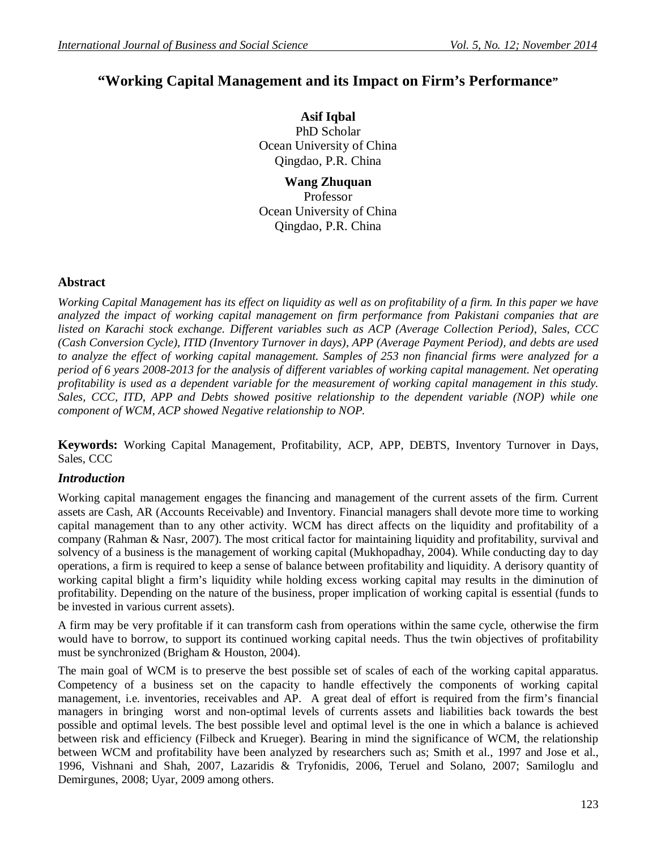# **"Working Capital Management and its Impact on Firm's Performance"**

**Asif Iqbal** PhD Scholar Ocean University of China Qingdao, P.R. China

**Wang Zhuquan** Professor Ocean University of China Qingdao, P.R. China

#### **Abstract**

*Working Capital Management has its effect on liquidity as well as on profitability of a firm. In this paper we have analyzed the impact of working capital management on firm performance from Pakistani companies that are listed on Karachi stock exchange. Different variables such as ACP (Average Collection Period), Sales, CCC (Cash Conversion Cycle), ITID (Inventory Turnover in days), APP (Average Payment Period), and debts are used to analyze the effect of working capital management. Samples of 253 non financial firms were analyzed for a period of 6 years 2008-2013 for the analysis of different variables of working capital management. Net operating profitability is used as a dependent variable for the measurement of working capital management in this study. Sales, CCC, ITD, APP and Debts showed positive relationship to the dependent variable (NOP) while one component of WCM, ACP showed Negative relationship to NOP.* 

**Keywords:** Working Capital Management, Profitability, ACP, APP, DEBTS, Inventory Turnover in Days, Sales, CCC

#### *Introduction*

Working capital management engages the financing and management of the current assets of the firm. Current assets are Cash, AR (Accounts Receivable) and Inventory. Financial managers shall devote more time to working capital management than to any other activity. WCM has direct affects on the liquidity and profitability of a company (Rahman & Nasr, 2007). The most critical factor for maintaining liquidity and profitability, survival and solvency of a business is the management of working capital (Mukhopadhay, 2004). While conducting day to day operations, a firm is required to keep a sense of balance between profitability and liquidity. A derisory quantity of working capital blight a firm's liquidity while holding excess working capital may results in the diminution of profitability. Depending on the nature of the business, proper implication of working capital is essential (funds to be invested in various current assets).

A firm may be very profitable if it can transform cash from operations within the same cycle, otherwise the firm would have to borrow, to support its continued working capital needs. Thus the twin objectives of profitability must be synchronized (Brigham & Houston, 2004).

The main goal of WCM is to preserve the best possible set of scales of each of the working capital apparatus. Competency of a business set on the capacity to handle effectively the components of working capital management, i.e. inventories, receivables and AP. A great deal of effort is required from the firm's financial managers in bringing worst and non-optimal levels of currents assets and liabilities back towards the best possible and optimal levels. The best possible level and optimal level is the one in which a balance is achieved between risk and efficiency (Filbeck and Krueger). Bearing in mind the significance of WCM, the relationship between WCM and profitability have been analyzed by researchers such as; Smith et al., 1997 and Jose et al., 1996, Vishnani and Shah, 2007, Lazaridis & Tryfonidis, 2006, Teruel and Solano, 2007; Samiloglu and Demirgunes, 2008; Uyar, 2009 among others.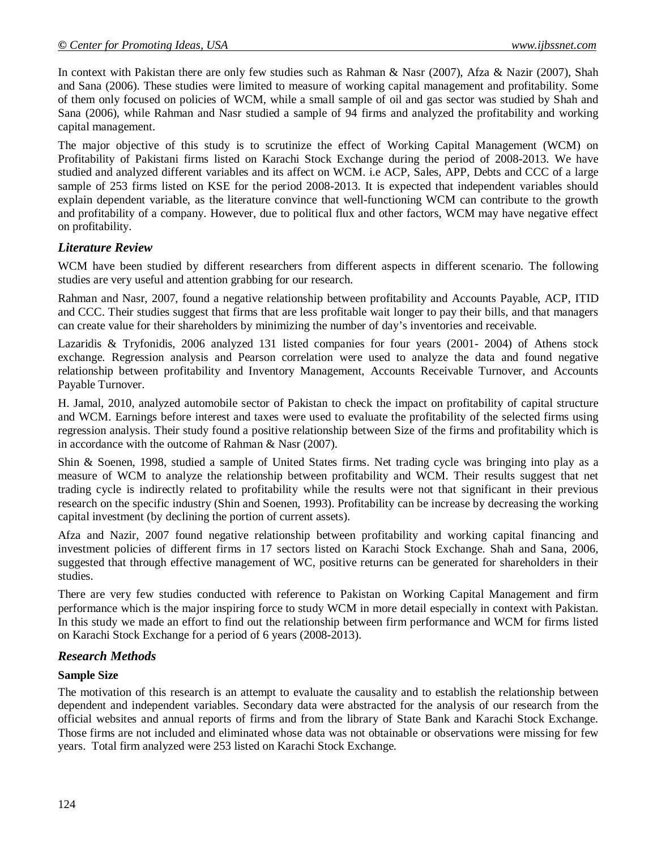In context with Pakistan there are only few studies such as Rahman & Nasr (2007), Afza & Nazir (2007), Shah and Sana (2006). These studies were limited to measure of working capital management and profitability. Some of them only focused on policies of WCM, while a small sample of oil and gas sector was studied by Shah and Sana (2006), while Rahman and Nasr studied a sample of 94 firms and analyzed the profitability and working capital management.

The major objective of this study is to scrutinize the effect of Working Capital Management (WCM) on Profitability of Pakistani firms listed on Karachi Stock Exchange during the period of 2008-2013. We have studied and analyzed different variables and its affect on WCM. i.e ACP, Sales, APP, Debts and CCC of a large sample of 253 firms listed on KSE for the period 2008-2013. It is expected that independent variables should explain dependent variable, as the literature convince that well-functioning WCM can contribute to the growth and profitability of a company. However, due to political flux and other factors, WCM may have negative effect on profitability.

## *Literature Review*

WCM have been studied by different researchers from different aspects in different scenario. The following studies are very useful and attention grabbing for our research.

Rahman and Nasr, 2007, found a negative relationship between profitability and Accounts Payable, ACP, ITID and CCC. Their studies suggest that firms that are less profitable wait longer to pay their bills, and that managers can create value for their shareholders by minimizing the number of day's inventories and receivable.

Lazaridis & Tryfonidis, 2006 analyzed 131 listed companies for four years (2001- 2004) of Athens stock exchange. Regression analysis and Pearson correlation were used to analyze the data and found negative relationship between profitability and Inventory Management, Accounts Receivable Turnover, and Accounts Payable Turnover.

H. Jamal, 2010, analyzed automobile sector of Pakistan to check the impact on profitability of capital structure and WCM. Earnings before interest and taxes were used to evaluate the profitability of the selected firms using regression analysis. Their study found a positive relationship between Size of the firms and profitability which is in accordance with the outcome of Rahman & Nasr (2007).

Shin & Soenen, 1998, studied a sample of United States firms. Net trading cycle was bringing into play as a measure of WCM to analyze the relationship between profitability and WCM. Their results suggest that net trading cycle is indirectly related to profitability while the results were not that significant in their previous research on the specific industry (Shin and Soenen, 1993). Profitability can be increase by decreasing the working capital investment (by declining the portion of current assets).

Afza and Nazir, 2007 found negative relationship between profitability and working capital financing and investment policies of different firms in 17 sectors listed on Karachi Stock Exchange. Shah and Sana, 2006, suggested that through effective management of WC, positive returns can be generated for shareholders in their studies.

There are very few studies conducted with reference to Pakistan on Working Capital Management and firm performance which is the major inspiring force to study WCM in more detail especially in context with Pakistan. In this study we made an effort to find out the relationship between firm performance and WCM for firms listed on Karachi Stock Exchange for a period of 6 years (2008-2013).

### *Research Methods*

### **Sample Size**

The motivation of this research is an attempt to evaluate the causality and to establish the relationship between dependent and independent variables. Secondary data were abstracted for the analysis of our research from the official websites and annual reports of firms and from the library of State Bank and Karachi Stock Exchange. Those firms are not included and eliminated whose data was not obtainable or observations were missing for few years. Total firm analyzed were 253 listed on Karachi Stock Exchange.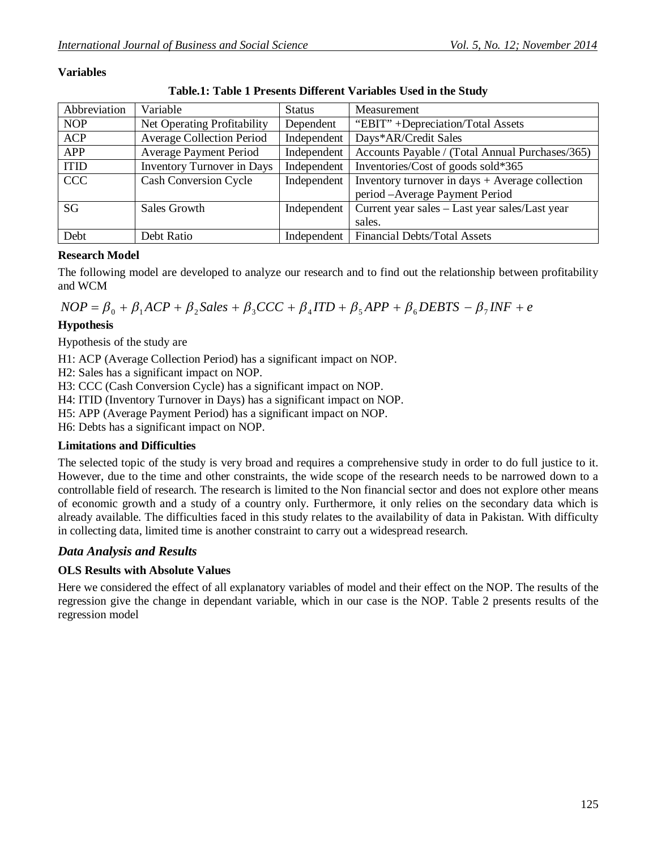#### **Variables**

| Table.1: Table 1 Presents Different Variables Used in the Study |  |  |  |  |  |  |
|-----------------------------------------------------------------|--|--|--|--|--|--|
|-----------------------------------------------------------------|--|--|--|--|--|--|

| Abbreviation | Variable                          | <b>Status</b> | Measurement                                       |
|--------------|-----------------------------------|---------------|---------------------------------------------------|
| <b>NOP</b>   | Net Operating Profitability       | Dependent     | "EBIT" +Depreciation/Total Assets                 |
| <b>ACP</b>   | <b>Average Collection Period</b>  | Independent   | Days*AR/Credit Sales                              |
| <b>APP</b>   | <b>Average Payment Period</b>     | Independent   | Accounts Payable / (Total Annual Purchases/365)   |
| <b>ITID</b>  | <b>Inventory Turnover in Days</b> | Independent   | Inventories/Cost of goods sold*365                |
| <b>CCC</b>   | <b>Cash Conversion Cycle</b>      | Independent   | Inventory turnover in days $+$ Average collection |
|              |                                   |               | period - Average Payment Period                   |
| SG           | Sales Growth                      | Independent   | Current year sales - Last year sales/Last year    |
|              |                                   |               | sales.                                            |
| Debt         | Debt Ratio                        | Independent   | Financial Debts/Total Assets                      |

#### **Research Model**

The following model are developed to analyze our research and to find out the relationship between profitability and WCM

 $XOP = \beta_0 + \beta_1 ACP + \beta_2 Sales + \beta_3 CCC + \beta_4 ITD + \beta_5 APP + \beta_6 DEBTS - \beta_7 INF + e$ 

## **Hypothesis**

Hypothesis of the study are

H1: ACP (Average Collection Period) has a significant impact on NOP.

H2: Sales has a significant impact on NOP.

H3: CCC (Cash Conversion Cycle) has a significant impact on NOP.

H4: ITID (Inventory Turnover in Days) has a significant impact on NOP.

H5: APP (Average Payment Period) has a significant impact on NOP.

H6: Debts has a significant impact on NOP.

### **Limitations and Difficulties**

The selected topic of the study is very broad and requires a comprehensive study in order to do full justice to it. However, due to the time and other constraints, the wide scope of the research needs to be narrowed down to a controllable field of research. The research is limited to the Non financial sector and does not explore other means of economic growth and a study of a country only. Furthermore, it only relies on the secondary data which is already available. The difficulties faced in this study relates to the availability of data in Pakistan. With difficulty in collecting data, limited time is another constraint to carry out a widespread research.

## *Data Analysis and Results*

### **OLS Results with Absolute Values**

Here we considered the effect of all explanatory variables of model and their effect on the NOP. The results of the regression give the change in dependant variable, which in our case is the NOP. Table 2 presents results of the regression model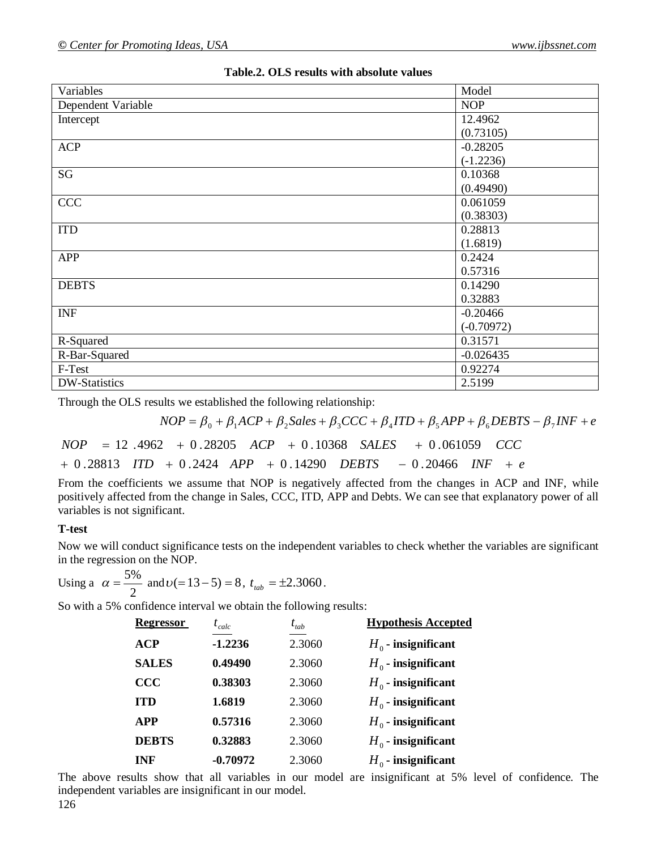| Variables          | Model        |
|--------------------|--------------|
| Dependent Variable | <b>NOP</b>   |
| Intercept          | 12.4962      |
|                    | (0.73105)    |
| <b>ACP</b>         | $-0.28205$   |
|                    | $(-1.2236)$  |
| SG                 | 0.10368      |
|                    | (0.49490)    |
| <b>CCC</b>         | 0.061059     |
|                    | (0.38303)    |
| <b>ITD</b>         | 0.28813      |
|                    | (1.6819)     |
| <b>APP</b>         | 0.2424       |
|                    | 0.57316      |
| <b>DEBTS</b>       | 0.14290      |
|                    | 0.32883      |
| <b>INF</b>         | $-0.20466$   |
|                    | $(-0.70972)$ |
| R-Squared          | 0.31571      |
| R-Bar-Squared      | $-0.026435$  |
| F-Test             | 0.92274      |
| DW-Statistics      | 2.5199       |

## **Table.2. OLS results with absolute values**

Through the OLS results we established the following relationship:

 $XOP = \beta_0 + \beta_1 ACP + \beta_2 Sales + \beta_3 CCC + \beta_4 TID + \beta_5 APP + \beta_6 DEBTS - \beta_7 INF + e$ 

 $NOP = 12.4962 + 0.28205$   $ACP + 0.10368$   $SALES + 0.061059$   $CCC$ 

*ITD* + 0.2424 *APP* + 0.14290 *DEBTS* - 0.20466 *INF* + *e* 

From the coefficients we assume that NOP is negatively affected from the changes in ACP and INF, while positively affected from the change in Sales, CCC, ITD, APP and Debts. We can see that explanatory power of all variables is not significant.

### **T-test**

Now we will conduct significance tests on the independent variables to check whether the variables are significant in the regression on the NOP.

Using a 
$$
\alpha = \frac{5\%}{2}
$$
 and  $\upsilon (= 13 - 5) = 8$ ,  $t_{\text{tab}} = \pm 2.3060$ .

So with a 5% confidence interval we obtain the following results:

| <b>Regressor</b> | $t_{calc}$ | $t_{tab}$ | <b>Hypothesis Accepted</b> |
|------------------|------------|-----------|----------------------------|
| <b>ACP</b>       | $-1.2236$  | 2.3060    | $H_0$ - insignificant      |
| <b>SALES</b>     | 0.49490    | 2.3060    | $H_0$ - insignificant      |
| <b>CCC</b>       | 0.38303    | 2.3060    | $H_0$ - insignificant      |
| <b>ITD</b>       | 1.6819     | 2.3060    | $H_0$ - insignificant      |
| <b>APP</b>       | 0.57316    | 2.3060    | $H_0$ - insignificant      |
| <b>DEBTS</b>     | 0.32883    | 2.3060    | $H_0$ - insignificant      |
| <b>INF</b>       | $-0.70972$ | 2.3060    | $H_0$ - insignificant      |

The above results show that all variables in our model are insignificant at 5% level of confidence. The independent variables are insignificant in our model.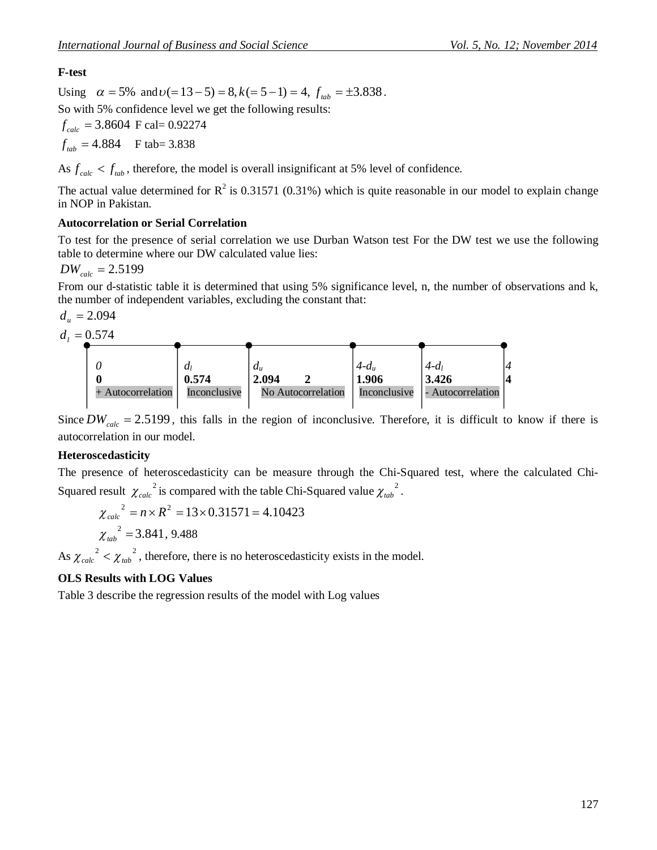# **F-test**

Using  $\alpha = 5\%$  and  $v( = 13 - 5) = 8$ ,  $k( = 5 - 1) = 4$ ,  $f_{lab} = \pm 3.838$ .

So with 5% confidence level we get the following results:

 $f_{calc}$  = 3.8604 F cal= 0.92274

 $f_{tab} = 4.884$  **F** tab= 3.838

As  $f_{calc} < f_{lab}$ , therefore, the model is overall insignificant at 5% level of confidence.

The actual value determined for  $R^2$  is 0.31571 (0.31%) which is quite reasonable in our model to explain change in NOP in Pakistan.

## **Autocorrelation or Serial Correlation**

To test for the presence of serial correlation we use Durban Watson test For the DW test we use the following table to determine where our DW calculated value lies:

 $DW_{calc} = 2.5199$ 

From our d-statistic table it is determined that using 5% significance level, n, the number of observations and k, the number of independent variables, excluding the constant that:

$$
d_u=2.094
$$



Since  $DW_{calc} = 2.5199$ , this falls in the region of inconclusive. Therefore, it is difficult to know if there is autocorrelation in our model.

## **Heteroscedasticity**

The presence of heteroscedasticity can be measure through the Chi-Squared test, where the calculated Chi-Squared result  $\chi_{calc}^{2}$  is compared with the table Chi-Squared value  $\chi_{tab}^{2}$ .

$$
\chi_{calc}^{2} = n \times R^{2} = 13 \times 0.31571 = 4.10423
$$
  
\n $\chi_{tab}^{2} = 3.841, 9.488$ 

As  $\chi_{calc}^{2} < \chi_{tab}^{2}$ , therefore, there is no heteroscedasticity exists in the model.

## **OLS Results with LOG Values**

Table 3 describe the regression results of the model with Log values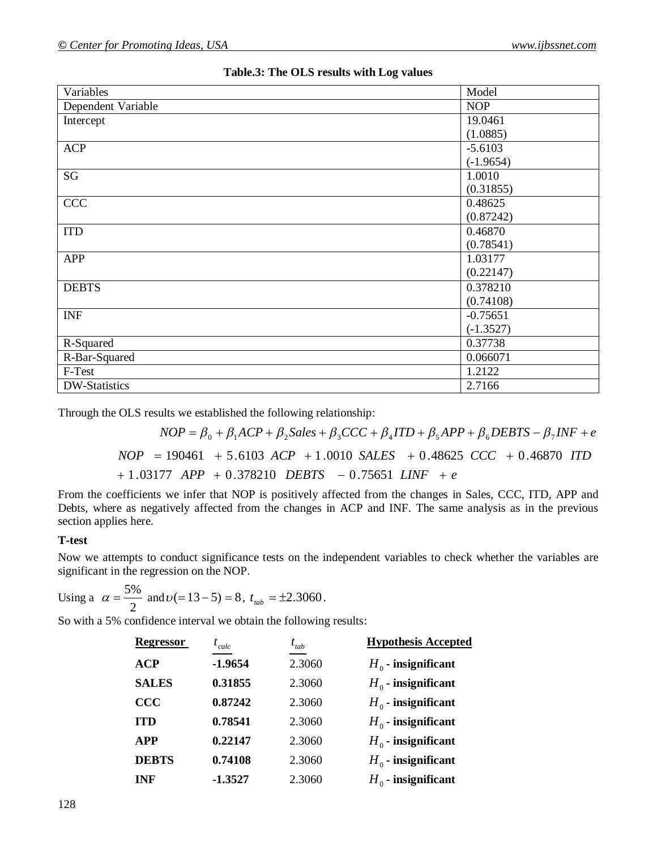| Variables          | Model       |
|--------------------|-------------|
| Dependent Variable | <b>NOP</b>  |
| Intercept          | 19.0461     |
|                    | (1.0885)    |
| <b>ACP</b>         | $-5.6103$   |
|                    | $(-1.9654)$ |
| SG                 | 1.0010      |
|                    | (0.31855)   |
| <b>CCC</b>         | 0.48625     |
|                    | (0.87242)   |
| <b>ITD</b>         | 0.46870     |
|                    | (0.78541)   |
| <b>APP</b>         | 1.03177     |
|                    | (0.22147)   |
| <b>DEBTS</b>       | 0.378210    |
|                    | (0.74108)   |
| <b>INF</b>         | $-0.75651$  |
|                    | $(-1.3527)$ |
| R-Squared          | 0.37738     |
| R-Bar-Squared      | 0.066071    |
| F-Test             | 1.2122      |
| DW-Statistics      | 2.7166      |

| Table.3: The OLS results with Log values |  |  |  |  |  |  |
|------------------------------------------|--|--|--|--|--|--|
|------------------------------------------|--|--|--|--|--|--|

Through the OLS results we established the following relationship:

$$
NOP = \beta_0 + \beta_1 ACP + \beta_2 Sales + \beta_3 CCC + \beta_4 ITD + \beta_5 APP + \beta_6 DEBTS - \beta_7 INF + e
$$
  
\n
$$
NOP = 190461 + 5.6103 ACP + 1.0010 SALES + 0.48625 CCC + 0.46870 ITD + 1.03177 APP + 0.378210 DEBTS - 0.75651 LINF + e
$$

From the coefficients we infer that NOP is positively affected from the changes in Sales, CCC, ITD, APP and Debts, where as negatively affected from the changes in ACP and INF. The same analysis as in the previous section applies here.

### **T-test**

Now we attempts to conduct significance tests on the independent variables to check whether the variables are significant in the regression on the NOP.

Using a 
$$
\alpha = \frac{5\%}{2}
$$
 and  $\upsilon (= 13 - 5) = 8$ ,  $t_{\text{tab}} = \pm 2.3060$ .

So with a 5% confidence interval we obtain the following results:

| <b>Regressor</b> | $t_{calc}$ | $t_{tab}$ | <b>Hypothesis Accepted</b> |
|------------------|------------|-----------|----------------------------|
| ACP              | $-1.9654$  | 2.3060    | $H_0$ - insignificant      |
| <b>SALES</b>     | 0.31855    | 2.3060    | $H_0$ - insignificant      |
| $\bf{CCC}$       | 0.87242    | 2.3060    | $H_0$ - insignificant      |
| <b>ITD</b>       | 0.78541    | 2.3060    | $H_0$ - insignificant      |
| <b>APP</b>       | 0.22147    | 2.3060    | $H_0$ - insignificant      |
| <b>DEBTS</b>     | 0.74108    | 2.3060    | $H_0$ - insignificant      |
| <b>INF</b>       | $-1.3527$  | 2.3060    | $H_0$ - insignificant      |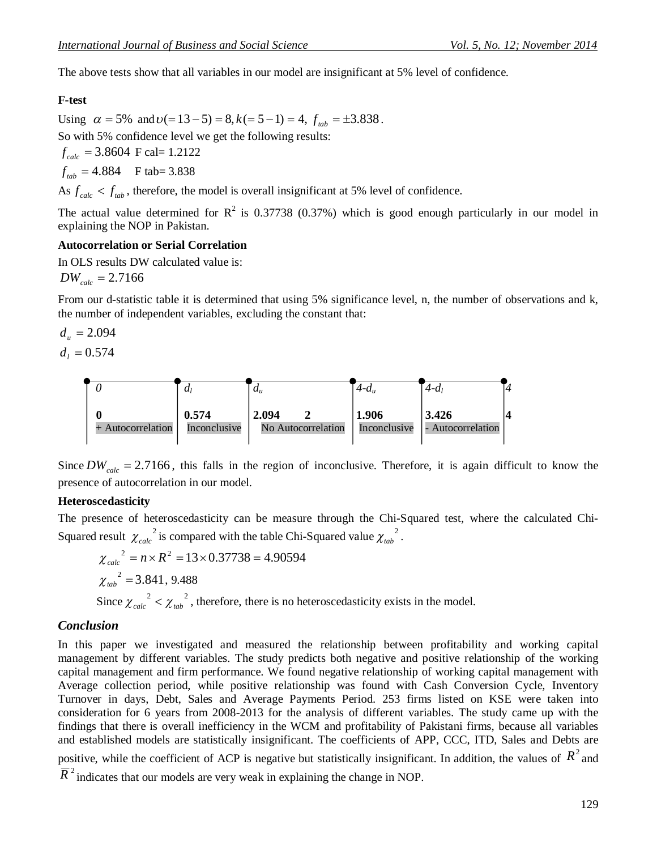The above tests show that all variables in our model are insignificant at 5% level of confidence.

#### **F-test**

Using  $\alpha = 5\%$  and  $\nu (= 13 - 5) = 8, k (= 5 - 1) = 4, f_{\text{tab}} = \pm 3.838$ . So with 5% confidence level we get the following results:  $f_{calc}$  = 3.8604 **F** cal= 1.2122  $f_{tab} = 4.884$  **F** tab= 3.838

As  $f_{calc} < f_{lab}$ , therefore, the model is overall insignificant at 5% level of confidence.

The actual value determined for  $R^2$  is 0.37738 (0.37%) which is good enough particularly in our model in explaining the NOP in Pakistan.

#### **Autocorrelation or Serial Correlation**

In OLS results DW calculated value is:

 $DW_{calc} = 2.7166$ 

From our d-statistic table it is determined that using 5% significance level, n, the number of observations and k, the number of independent variables, excluding the constant that:

$$
d_u = 2.094
$$
  

$$
d_l = 0.574
$$



Since  $DW_{calc} = 2.7166$ , this falls in the region of inconclusive. Therefore, it is again difficult to know the presence of autocorrelation in our model.

#### **Heteroscedasticity**

The presence of heteroscedasticity can be measure through the Chi-Squared test, where the calculated Chi-Squared result  $\chi_{calc}^{2}$  is compared with the table Chi-Squared value  $\chi_{tab}^{2}$ .

$$
\chi_{calc}^{2} = n \times R^{2} = 13 \times 0.37738 = 4.90594
$$
\n
$$
\chi_{tab}^{2} = 3.841, 9.488
$$
\nSince  $\chi_{calc}^{2} < \chi_{tab}^{2}$ , therefore, there is no heteroscedasticity exists in the model.

#### *Conclusion*

In this paper we investigated and measured the relationship between profitability and working capital management by different variables. The study predicts both negative and positive relationship of the working capital management and firm performance. We found negative relationship of working capital management with Average collection period, while positive relationship was found with Cash Conversion Cycle, Inventory Turnover in days, Debt, Sales and Average Payments Period. 253 firms listed on KSE were taken into consideration for 6 years from 2008-2013 for the analysis of different variables. The study came up with the findings that there is overall inefficiency in the WCM and profitability of Pakistani firms, because all variables and established models are statistically insignificant. The coefficients of APP, CCC, ITD, Sales and Debts are

positive, while the coefficient of ACP is negative but statistically insignificant. In addition, the values of  $R^2$  and

 $\overline{R}^2$  indicates that our models are very weak in explaining the change in NOP.